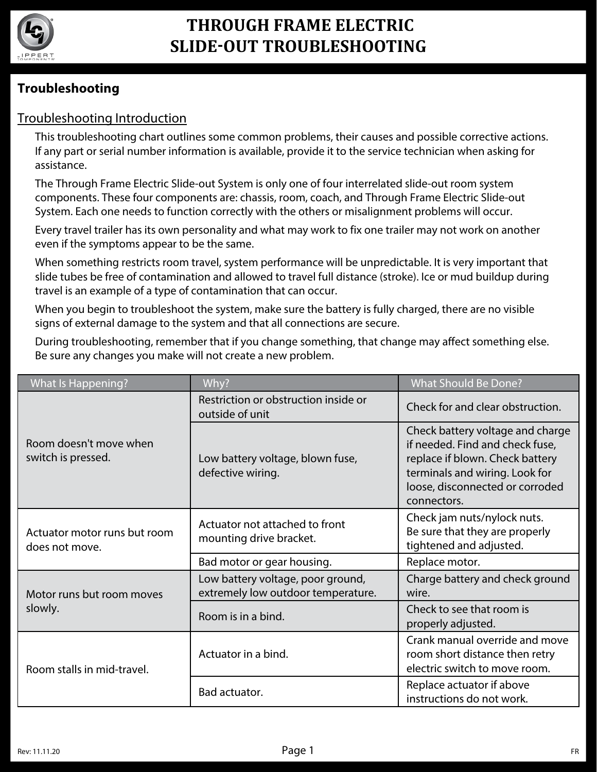

# **THROUGH FRAME ELECTRIC SLIDE-OUT TROUBLESHOOTING**

## **Troubleshooting**

### Troubleshooting Introduction

This troubleshooting chart outlines some common problems, their causes and possible corrective actions. If any part or serial number information is available, provide it to the service technician when asking for assistance.

The Through Frame Electric Slide-out System is only one of four interrelated slide-out room system components. These four components are: chassis, room, coach, and Through Frame Electric Slide-out System. Each one needs to function correctly with the others or misalignment problems will occur.

Every travel trailer has its own personality and what may work to fix one trailer may not work on another even if the symptoms appear to be the same.

When something restricts room travel, system performance will be unpredictable. It is very important that slide tubes be free of contamination and allowed to travel full distance (stroke). Ice or mud buildup during travel is an example of a type of contamination that can occur.

When you begin to troubleshoot the system, make sure the battery is fully charged, there are no visible signs of external damage to the system and that all connections are secure.

During troubleshooting, remember that if you change something, that change may affect something else. Be sure any changes you make will not create a new problem.

| <b>What Is Happening?</b>                      | Why?                                                                    | <b>What Should Be Done?</b>                                                                                                                                                                |
|------------------------------------------------|-------------------------------------------------------------------------|--------------------------------------------------------------------------------------------------------------------------------------------------------------------------------------------|
| Room doesn't move when<br>switch is pressed.   | Restriction or obstruction inside or<br>outside of unit                 | Check for and clear obstruction.                                                                                                                                                           |
|                                                | Low battery voltage, blown fuse,<br>defective wiring.                   | Check battery voltage and charge<br>if needed. Find and check fuse,<br>replace if blown. Check battery<br>terminals and wiring. Look for<br>loose, disconnected or corroded<br>connectors. |
| Actuator motor runs but room<br>does not move. | Actuator not attached to front<br>mounting drive bracket.               | Check jam nuts/nylock nuts.<br>Be sure that they are properly<br>tightened and adjusted.                                                                                                   |
|                                                | Bad motor or gear housing.                                              | Replace motor.                                                                                                                                                                             |
| Motor runs but room moves<br>slowly.           | Low battery voltage, poor ground,<br>extremely low outdoor temperature. | Charge battery and check ground<br>wire.                                                                                                                                                   |
|                                                | Room is in a bind.                                                      | Check to see that room is<br>properly adjusted.                                                                                                                                            |
| Room stalls in mid-travel.                     | Actuator in a bind.                                                     | Crank manual override and move<br>room short distance then retry<br>electric switch to move room.                                                                                          |
|                                                | Bad actuator.                                                           | Replace actuator if above<br>instructions do not work.                                                                                                                                     |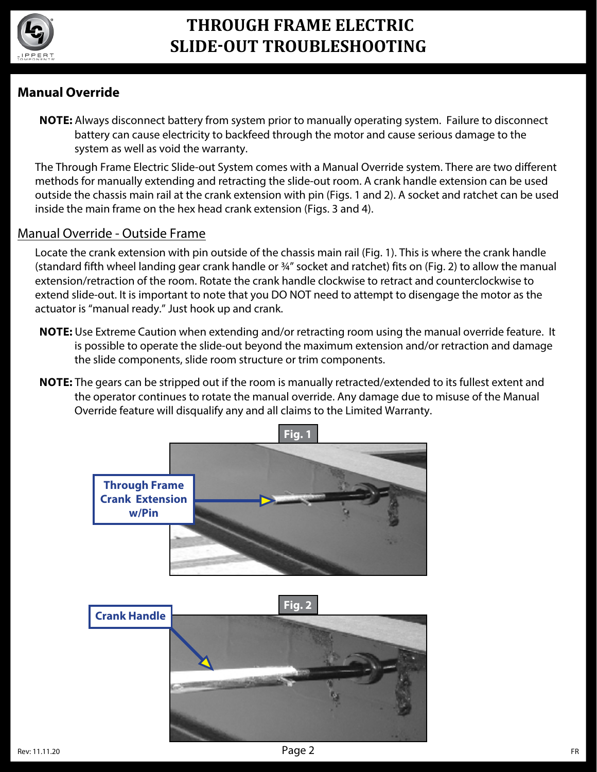

# **THROUGH FRAME ELECTRIC SLIDE-OUT TROUBLESHOOTING**

## **Manual Override**

**NOTE:** Always disconnect battery from system prior to manually operating system. Failure to disconnect battery can cause electricity to backfeed through the motor and cause serious damage to the system as well as void the warranty.

The Through Frame Electric Slide-out System comes with a Manual Override system. There are two different methods for manually extending and retracting the slide-out room. A crank handle extension can be used outside the chassis main rail at the crank extension with pin (Figs. 1 and 2). A socket and ratchet can be used inside the main frame on the hex head crank extension (Figs. 3 and 4).

#### Manual Override - Outside Frame

Locate the crank extension with pin outside of the chassis main rail (Fig. 1). This is where the crank handle (standard fifth wheel landing gear crank handle or 34" socket and ratchet) fits on (Fig. 2) to allow the manual extension/retraction of the room. Rotate the crank handle clockwise to retract and counterclockwise to extend slide-out. It is important to note that you DO NOT need to attempt to disengage the motor as the actuator is "manual ready." Just hook up and crank.

- **NOTE:** Use Extreme Caution when extending and/or retracting room using the manual override feature. It is possible to operate the slide-out beyond the maximum extension and/or retraction and damage the slide components, slide room structure or trim components.
- **NOTE:** The gears can be stripped out if the room is manually retracted/extended to its fullest extent and the operator continues to rotate the manual override. Any damage due to misuse of the Manual Override feature will disqualify any and all claims to the Limited Warranty.